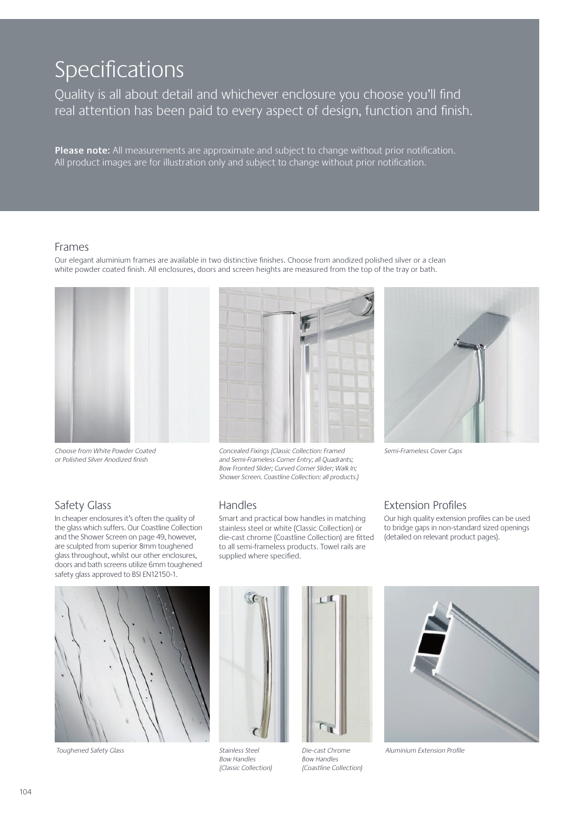# Specifications

Quality is all about detail and whichever enclosure you choose you'll find real attention has been paid to every aspect of design, function and finish.

**Please note:** All measurements are approximate and subject to change without prior notification. All product images are for illustration only and subject to change without prior notification.

Our elegant aluminium frames are available in two distinctive finishes. Choose from anodized polished silver or a clean white powder coated finish. All enclosures, doors and screen heights are measured from the top of the tray or bath.

#### Frames

Choose from White Powder Coated or Polished Silver Anodized finish



Concealed Fixings (Classic Collection: Framed Semi-Frameless Cover Caps and Semi-Frameless Corner Entry; all Quadrants; Bow Fronted Slider; Curved Corner Slider; Walk In; Shower Screen. Coastline Collection: all products.)



# Safety Glass

In cheaper enclosures it's often the quality of the glass which suffers. Our Coastline Collection and the Shower Screen on page 49, however, are sculpted from superior 8mm toughened glass throughout, whilst our other enclosures, doors and bath screens utilize 6mm toughened safety glass approved to BSI EN12150-1.

#### Handles

Smart and practical bow handles in matching stainless steel or white (Classic Collection) or die-cast chrome (Coastline Collection) are fitted to all semi-frameless products. Towel rails are supplied where specified.

#### Extension Profiles

Our high quality extension profiles can be used to bridge gaps in non-standard sized openings (detailed on relevant product pages).



Toughened Safety Glass



Stainless Steel Bow Handles (Classic Collection)







Aluminium Extension Profile